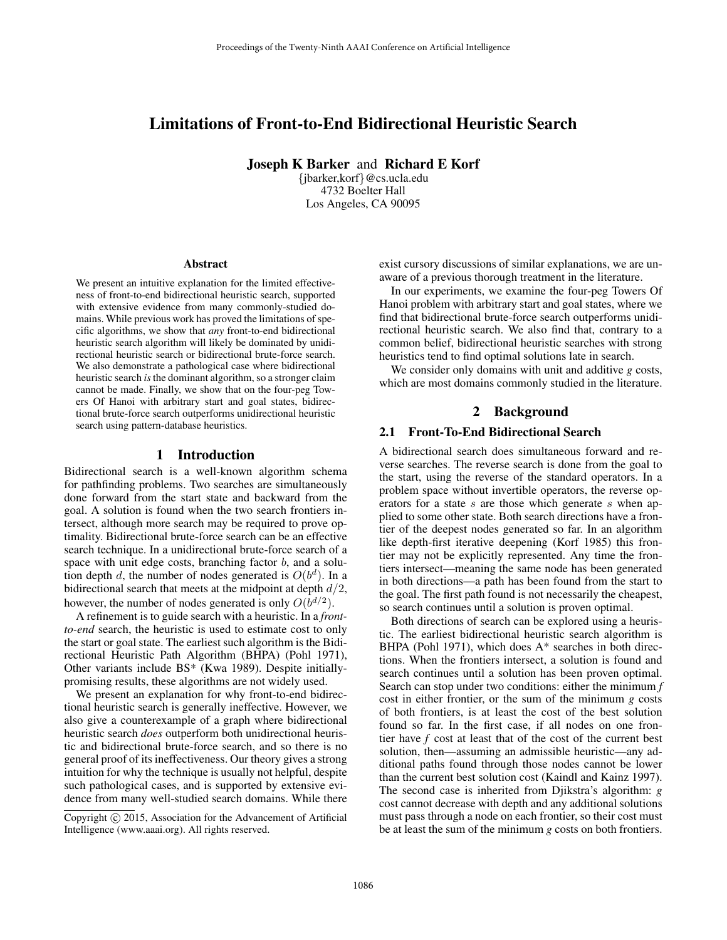# Limitations of Front-to-End Bidirectional Heuristic Search

Joseph K Barker and Richard E Korf

{jbarker,korf}@cs.ucla.edu 4732 Boelter Hall Los Angeles, CA 90095

#### Abstract

We present an intuitive explanation for the limited effectiveness of front-to-end bidirectional heuristic search, supported with extensive evidence from many commonly-studied domains. While previous work has proved the limitations of specific algorithms, we show that *any* front-to-end bidirectional heuristic search algorithm will likely be dominated by unidirectional heuristic search or bidirectional brute-force search. We also demonstrate a pathological case where bidirectional heuristic search *is*the dominant algorithm, so a stronger claim cannot be made. Finally, we show that on the four-peg Towers Of Hanoi with arbitrary start and goal states, bidirectional brute-force search outperforms unidirectional heuristic search using pattern-database heuristics.

#### 1 Introduction

Bidirectional search is a well-known algorithm schema for pathfinding problems. Two searches are simultaneously done forward from the start state and backward from the goal. A solution is found when the two search frontiers intersect, although more search may be required to prove optimality. Bidirectional brute-force search can be an effective search technique. In a unidirectional brute-force search of a space with unit edge costs, branching factor  $b$ , and a solution depth d, the number of nodes generated is  $O(b^d)$ . In a bidirectional search that meets at the midpoint at depth  $d/2$ , however, the number of nodes generated is only  $O(b^{d/2})$ .

A refinement is to guide search with a heuristic. In a *frontto-end* search, the heuristic is used to estimate cost to only the start or goal state. The earliest such algorithm is the Bidirectional Heuristic Path Algorithm (BHPA) (Pohl 1971), Other variants include BS\* (Kwa 1989). Despite initiallypromising results, these algorithms are not widely used.

We present an explanation for why front-to-end bidirectional heuristic search is generally ineffective. However, we also give a counterexample of a graph where bidirectional heuristic search *does* outperform both unidirectional heuristic and bidirectional brute-force search, and so there is no general proof of its ineffectiveness. Our theory gives a strong intuition for why the technique is usually not helpful, despite such pathological cases, and is supported by extensive evidence from many well-studied search domains. While there exist cursory discussions of similar explanations, we are unaware of a previous thorough treatment in the literature.

In our experiments, we examine the four-peg Towers Of Hanoi problem with arbitrary start and goal states, where we find that bidirectional brute-force search outperforms unidirectional heuristic search. We also find that, contrary to a common belief, bidirectional heuristic searches with strong heuristics tend to find optimal solutions late in search.

We consider only domains with unit and additive *g* costs, which are most domains commonly studied in the literature.

# 2 Background

### 2.1 Front-To-End Bidirectional Search

A bidirectional search does simultaneous forward and reverse searches. The reverse search is done from the goal to the start, using the reverse of the standard operators. In a problem space without invertible operators, the reverse operators for a state s are those which generate s when applied to some other state. Both search directions have a frontier of the deepest nodes generated so far. In an algorithm like depth-first iterative deepening (Korf 1985) this frontier may not be explicitly represented. Any time the frontiers intersect—meaning the same node has been generated in both directions—a path has been found from the start to the goal. The first path found is not necessarily the cheapest, so search continues until a solution is proven optimal.

Both directions of search can be explored using a heuristic. The earliest bidirectional heuristic search algorithm is BHPA (Pohl 1971), which does A\* searches in both directions. When the frontiers intersect, a solution is found and search continues until a solution has been proven optimal. Search can stop under two conditions: either the minimum *f* cost in either frontier, or the sum of the minimum *g* costs of both frontiers, is at least the cost of the best solution found so far. In the first case, if all nodes on one frontier have *f* cost at least that of the cost of the current best solution, then—assuming an admissible heuristic—any additional paths found through those nodes cannot be lower than the current best solution cost (Kaindl and Kainz 1997). The second case is inherited from Djikstra's algorithm: *g* cost cannot decrease with depth and any additional solutions must pass through a node on each frontier, so their cost must be at least the sum of the minimum *g* costs on both frontiers.

Copyright  $\odot$  2015, Association for the Advancement of Artificial Intelligence (www.aaai.org). All rights reserved.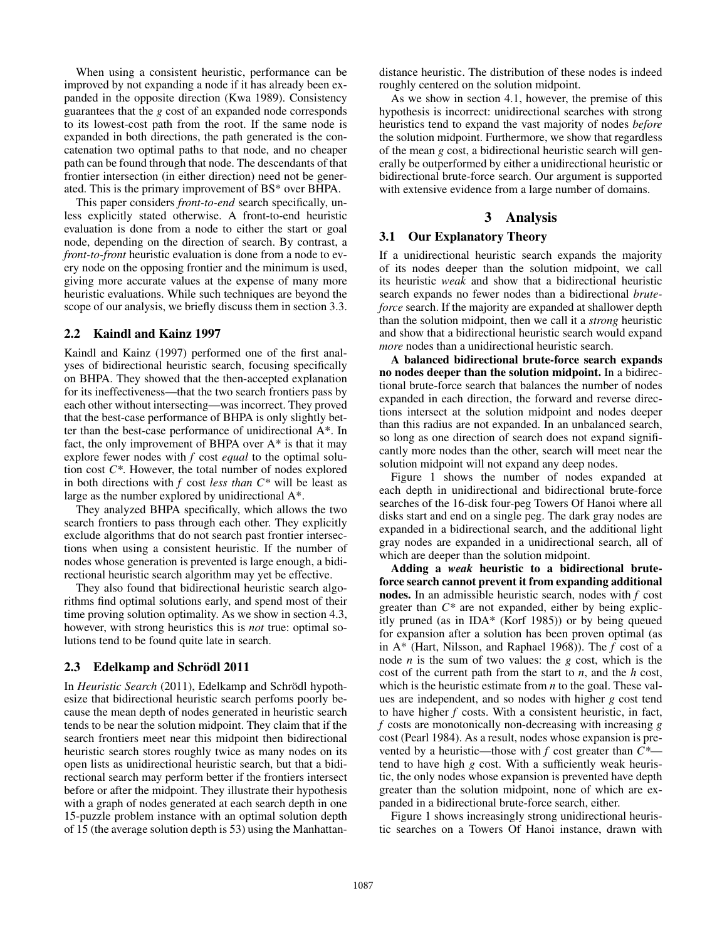When using a consistent heuristic, performance can be improved by not expanding a node if it has already been expanded in the opposite direction (Kwa 1989). Consistency guarantees that the *g* cost of an expanded node corresponds to its lowest-cost path from the root. If the same node is expanded in both directions, the path generated is the concatenation two optimal paths to that node, and no cheaper path can be found through that node. The descendants of that frontier intersection (in either direction) need not be generated. This is the primary improvement of BS\* over BHPA.

This paper considers *front-to-end* search specifically, unless explicitly stated otherwise. A front-to-end heuristic evaluation is done from a node to either the start or goal node, depending on the direction of search. By contrast, a *front-to-front* heuristic evaluation is done from a node to every node on the opposing frontier and the minimum is used, giving more accurate values at the expense of many more heuristic evaluations. While such techniques are beyond the scope of our analysis, we briefly discuss them in section 3.3.

## 2.2 Kaindl and Kainz 1997

Kaindl and Kainz (1997) performed one of the first analyses of bidirectional heuristic search, focusing specifically on BHPA. They showed that the then-accepted explanation for its ineffectiveness—that the two search frontiers pass by each other without intersecting—was incorrect. They proved that the best-case performance of BHPA is only slightly better than the best-case performance of unidirectional A\*. In fact, the only improvement of BHPA over A\* is that it may explore fewer nodes with *f* cost *equal* to the optimal solution cost *C\**. However, the total number of nodes explored in both directions with *f* cost *less than C\** will be least as large as the number explored by unidirectional A\*.

They analyzed BHPA specifically, which allows the two search frontiers to pass through each other. They explicitly exclude algorithms that do not search past frontier intersections when using a consistent heuristic. If the number of nodes whose generation is prevented is large enough, a bidirectional heuristic search algorithm may yet be effective.

They also found that bidirectional heuristic search algorithms find optimal solutions early, and spend most of their time proving solution optimality. As we show in section 4.3, however, with strong heuristics this is *not* true: optimal solutions tend to be found quite late in search.

#### 2.3 Edelkamp and Schrödl 2011

In *Heuristic Search* (2011), Edelkamp and Schrödl hypothesize that bidirectional heuristic search perfoms poorly because the mean depth of nodes generated in heuristic search tends to be near the solution midpoint. They claim that if the search frontiers meet near this midpoint then bidirectional heuristic search stores roughly twice as many nodes on its open lists as unidirectional heuristic search, but that a bidirectional search may perform better if the frontiers intersect before or after the midpoint. They illustrate their hypothesis with a graph of nodes generated at each search depth in one 15-puzzle problem instance with an optimal solution depth of 15 (the average solution depth is 53) using the Manhattandistance heuristic. The distribution of these nodes is indeed roughly centered on the solution midpoint.

As we show in section 4.1, however, the premise of this hypothesis is incorrect: unidirectional searches with strong heuristics tend to expand the vast majority of nodes *before* the solution midpoint. Furthermore, we show that regardless of the mean *g* cost, a bidirectional heuristic search will generally be outperformed by either a unidirectional heuristic or bidirectional brute-force search. Our argument is supported with extensive evidence from a large number of domains.

## 3 Analysis

## 3.1 Our Explanatory Theory

If a unidirectional heuristic search expands the majority of its nodes deeper than the solution midpoint, we call its heuristic *weak* and show that a bidirectional heuristic search expands no fewer nodes than a bidirectional *bruteforce* search. If the majority are expanded at shallower depth than the solution midpoint, then we call it a *strong* heuristic and show that a bidirectional heuristic search would expand *more* nodes than a unidirectional heuristic search.

A balanced bidirectional brute-force search expands no nodes deeper than the solution midpoint. In a bidirectional brute-force search that balances the number of nodes expanded in each direction, the forward and reverse directions intersect at the solution midpoint and nodes deeper than this radius are not expanded. In an unbalanced search, so long as one direction of search does not expand significantly more nodes than the other, search will meet near the solution midpoint will not expand any deep nodes.

Figure 1 shows the number of nodes expanded at each depth in unidirectional and bidirectional brute-force searches of the 16-disk four-peg Towers Of Hanoi where all disks start and end on a single peg. The dark gray nodes are expanded in a bidirectional search, and the additional light gray nodes are expanded in a unidirectional search, all of which are deeper than the solution midpoint.

Adding a *weak* heuristic to a bidirectional bruteforce search cannot prevent it from expanding additional nodes. In an admissible heuristic search, nodes with *f* cost greater than *C\** are not expanded, either by being explicitly pruned (as in IDA\* (Korf 1985)) or by being queued for expansion after a solution has been proven optimal (as in A\* (Hart, Nilsson, and Raphael 1968)). The *f* cost of a node *n* is the sum of two values: the *g* cost, which is the cost of the current path from the start to *n*, and the *h* cost, which is the heuristic estimate from *n* to the goal. These values are independent, and so nodes with higher *g* cost tend to have higher *f* costs. With a consistent heuristic, in fact, *f* costs are monotonically non-decreasing with increasing *g* cost (Pearl 1984). As a result, nodes whose expansion is prevented by a heuristic—those with *f* cost greater than *C\** tend to have high *g* cost. With a sufficiently weak heuristic, the only nodes whose expansion is prevented have depth greater than the solution midpoint, none of which are expanded in a bidirectional brute-force search, either.

Figure 1 shows increasingly strong unidirectional heuristic searches on a Towers Of Hanoi instance, drawn with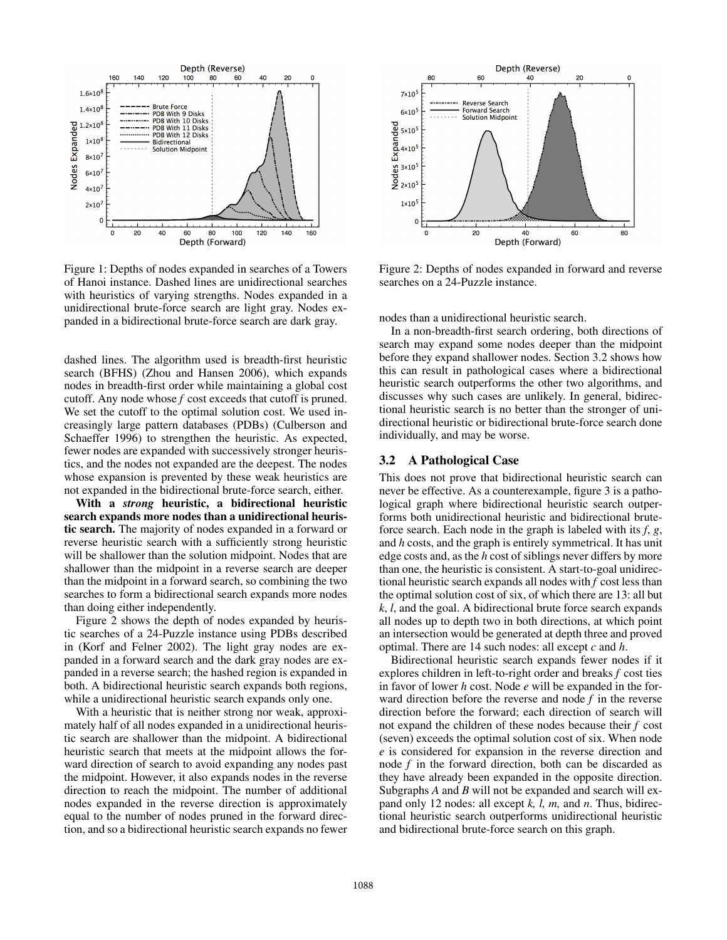

Figure 1: Depths of nodes expanded in searches of a Towers of Hanoi instance. Dashed lines are unidirectional searches with heuristics of varying strengths. Nodes expanded in a unidirectional brute-force search are light gray. Nodes expanded in a bidirectional brute-force search are dark gray.

dashed lines. The algorithm used is breadth-first heuristic search (BFHS) (Zhou and Hansen 2006), which expands nodes in breadth-first order while maintaining a global cost cutoff. Any node whose *f* cost exceeds that cutoff is pruned. We set the cutoff to the optimal solution cost. We used increasingly large pattern databases (PDBs) (Culberson and Schaeffer 1996) to strengthen the heuristic. As expected, fewer nodes are expanded with successively stronger heuristics, and the nodes not expanded are the deepest. The nodes whose expansion is prevented by these weak heuristics are not expanded in the bidirectional brute-force search, either.

With a *strong* heuristic, a bidirectional heuristic search expands more nodes than a unidirectional heuristic search. The majority of nodes expanded in a forward or reverse heuristic search with a sufficiently strong heuristic will be shallower than the solution midpoint. Nodes that are shallower than the midpoint in a reverse search are deeper than the midpoint in a forward search, so combining the two searches to form a bidirectional search expands more nodes than doing either independently.

Figure 2 shows the depth of nodes expanded by heuristic searches of a 24-Puzzle instance using PDBs described in (Korf and Felner 2002). The light gray nodes are expanded in a forward search and the dark gray nodes are expanded in a reverse search; the hashed region is expanded in both. A bidirectional heuristic search expands both regions, while a unidirectional heuristic search expands only one.

With a heuristic that is neither strong nor weak, approximately half of all nodes expanded in a unidirectional heuristic search are shallower than the midpoint. A bidirectional heuristic search that meets at the midpoint allows the forward direction of search to avoid expanding any nodes past the midpoint. However, it also expands nodes in the reverse direction to reach the midpoint. The number of additional nodes expanded in the reverse direction is approximately equal to the number of nodes pruned in the forward direction, and so a bidirectional heuristic search expands no fewer



Figure 2: Depths of nodes expanded in forward and reverse searches on a 24-Puzzle instance.

nodes than a unidirectional heuristic search.

In a non-breadth-first search ordering, both directions of search may expand some nodes deeper than the midpoint before they expand shallower nodes. Section 3.2 shows how this can result in pathological cases where a bidirectional heuristic search outperforms the other two algorithms, and discusses why such cases are unlikely. In general, bidirectional heuristic search is no better than the stronger of unidirectional heuristic or bidirectional brute-force search done individually, and may be worse.

### 3.2 A Pathological Case

This does not prove that bidirectional heuristic search can never be effective. As a counterexample, figure 3 is a pathological graph where bidirectional heuristic search outperforms both unidirectional heuristic and bidirectional bruteforce search. Each node in the graph is labeled with its *f*, *g*, and *h* costs, and the graph is entirely symmetrical. It has unit edge costs and, as the *h* cost of siblings never differs by more than one, the heuristic is consistent. A start-to-goal unidirectional heuristic search expands all nodes with *f* cost less than the optimal solution cost of six, of which there are 13: all but *k*, *l*, and the goal. A bidirectional brute force search expands all nodes up to depth two in both directions, at which point an intersection would be generated at depth three and proved optimal. There are 14 such nodes: all except *c* and *h*.

Bidirectional heuristic search expands fewer nodes if it explores children in left-to-right order and breaks *f* cost ties in favor of lower *h* cost. Node *e* will be expanded in the forward direction before the reverse and node *f* in the reverse direction before the forward; each direction of search will not expand the children of these nodes because their *f* cost (seven) exceeds the optimal solution cost of six. When node *e* is considered for expansion in the reverse direction and node *f* in the forward direction, both can be discarded as they have already been expanded in the opposite direction. Subgraphs *A* and *B* will not be expanded and search will expand only 12 nodes: all except *k, l, m,* and *n*. Thus, bidirectional heuristic search outperforms unidirectional heuristic and bidirectional brute-force search on this graph.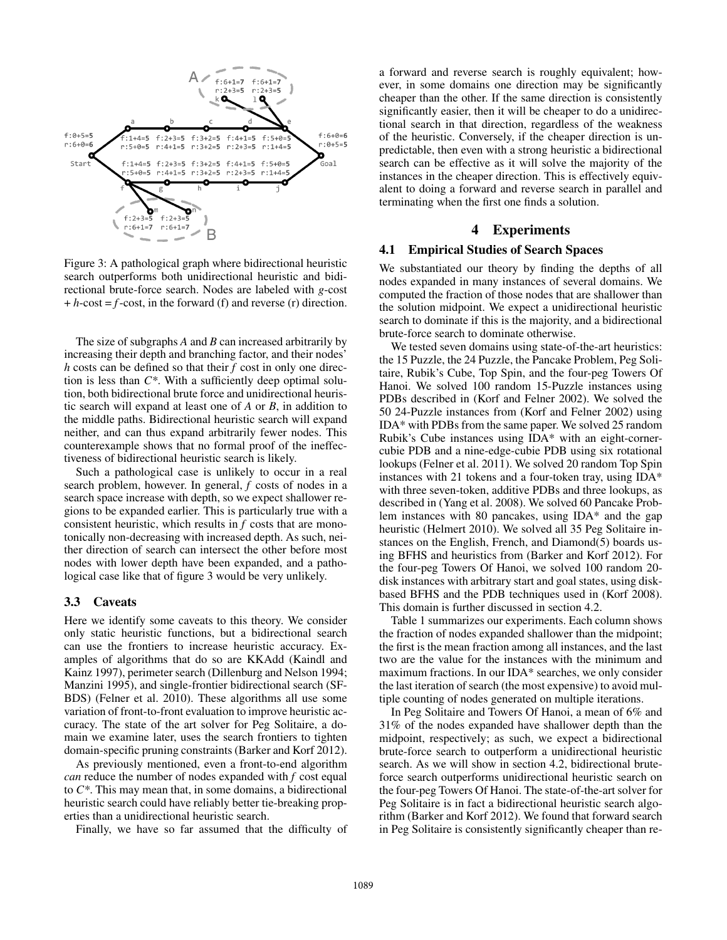

Figure 3: A pathological graph where bidirectional heuristic search outperforms both unidirectional heuristic and bidirectional brute-force search. Nodes are labeled with *g*-cost  $+ h$ -cost =  $f$ -cost, in the forward (f) and reverse (r) direction.

The size of subgraphs *A* and *B* can increased arbitrarily by increasing their depth and branching factor, and their nodes' *h* costs can be defined so that their *f* cost in only one direction is less than *C\**. With a sufficiently deep optimal solution, both bidirectional brute force and unidirectional heuristic search will expand at least one of *A* or *B*, in addition to the middle paths. Bidirectional heuristic search will expand neither, and can thus expand arbitrarily fewer nodes. This counterexample shows that no formal proof of the ineffectiveness of bidirectional heuristic search is likely.

Such a pathological case is unlikely to occur in a real search problem, however. In general, *f* costs of nodes in a search space increase with depth, so we expect shallower regions to be expanded earlier. This is particularly true with a consistent heuristic, which results in *f* costs that are monotonically non-decreasing with increased depth. As such, neither direction of search can intersect the other before most nodes with lower depth have been expanded, and a pathological case like that of figure 3 would be very unlikely.

### 3.3 Caveats

Here we identify some caveats to this theory. We consider only static heuristic functions, but a bidirectional search can use the frontiers to increase heuristic accuracy. Examples of algorithms that do so are KKAdd (Kaindl and Kainz 1997), perimeter search (Dillenburg and Nelson 1994; Manzini 1995), and single-frontier bidirectional search (SF-BDS) (Felner et al. 2010). These algorithms all use some variation of front-to-front evaluation to improve heuristic accuracy. The state of the art solver for Peg Solitaire, a domain we examine later, uses the search frontiers to tighten domain-specific pruning constraints (Barker and Korf 2012).

As previously mentioned, even a front-to-end algorithm *can* reduce the number of nodes expanded with *f* cost equal to *C\**. This may mean that, in some domains, a bidirectional heuristic search could have reliably better tie-breaking properties than a unidirectional heuristic search.

Finally, we have so far assumed that the difficulty of

a forward and reverse search is roughly equivalent; however, in some domains one direction may be significantly cheaper than the other. If the same direction is consistently significantly easier, then it will be cheaper to do a unidirectional search in that direction, regardless of the weakness of the heuristic. Conversely, if the cheaper direction is unpredictable, then even with a strong heuristic a bidirectional search can be effective as it will solve the majority of the instances in the cheaper direction. This is effectively equivalent to doing a forward and reverse search in parallel and terminating when the first one finds a solution.

## 4 Experiments

#### 4.1 Empirical Studies of Search Spaces

We substantiated our theory by finding the depths of all nodes expanded in many instances of several domains. We computed the fraction of those nodes that are shallower than the solution midpoint. We expect a unidirectional heuristic search to dominate if this is the majority, and a bidirectional brute-force search to dominate otherwise.

We tested seven domains using state-of-the-art heuristics: the 15 Puzzle, the 24 Puzzle, the Pancake Problem, Peg Solitaire, Rubik's Cube, Top Spin, and the four-peg Towers Of Hanoi. We solved 100 random 15-Puzzle instances using PDBs described in (Korf and Felner 2002). We solved the 50 24-Puzzle instances from (Korf and Felner 2002) using IDA\* with PDBs from the same paper. We solved 25 random Rubik's Cube instances using IDA\* with an eight-cornercubie PDB and a nine-edge-cubie PDB using six rotational lookups (Felner et al. 2011). We solved 20 random Top Spin instances with 21 tokens and a four-token tray, using IDA\* with three seven-token, additive PDBs and three lookups, as described in (Yang et al. 2008). We solved 60 Pancake Problem instances with 80 pancakes, using IDA\* and the gap heuristic (Helmert 2010). We solved all 35 Peg Solitaire instances on the English, French, and Diamond(5) boards using BFHS and heuristics from (Barker and Korf 2012). For the four-peg Towers Of Hanoi, we solved 100 random 20 disk instances with arbitrary start and goal states, using diskbased BFHS and the PDB techniques used in (Korf 2008). This domain is further discussed in section 4.2.

Table 1 summarizes our experiments. Each column shows the fraction of nodes expanded shallower than the midpoint; the first is the mean fraction among all instances, and the last two are the value for the instances with the minimum and maximum fractions. In our IDA\* searches, we only consider the last iteration of search (the most expensive) to avoid multiple counting of nodes generated on multiple iterations.

In Peg Solitaire and Towers Of Hanoi, a mean of 6% and 31% of the nodes expanded have shallower depth than the midpoint, respectively; as such, we expect a bidirectional brute-force search to outperform a unidirectional heuristic search. As we will show in section 4.2, bidirectional bruteforce search outperforms unidirectional heuristic search on the four-peg Towers Of Hanoi. The state-of-the-art solver for Peg Solitaire is in fact a bidirectional heuristic search algorithm (Barker and Korf 2012). We found that forward search in Peg Solitaire is consistently significantly cheaper than re-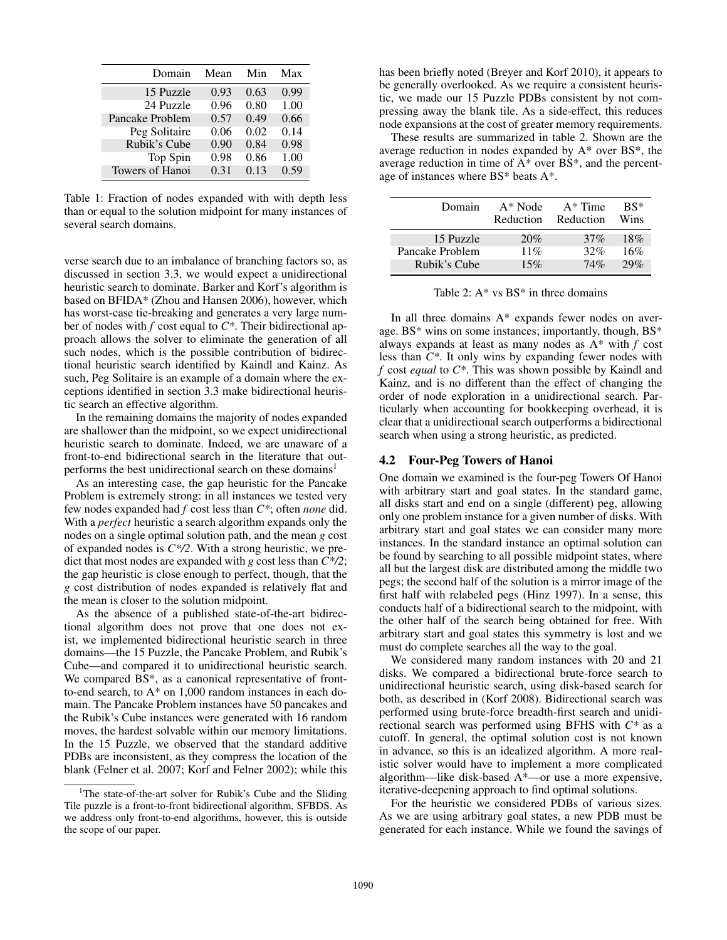| Domain          | Mean | Min  | Max  |
|-----------------|------|------|------|
| 15 Puzzle       | 0.93 | 0.63 | 0.99 |
| 24 Puzzle       | 0.96 | 0.80 | 1.00 |
| Pancake Problem | 0.57 | 0.49 | 0.66 |
| Peg Solitaire   | 0.06 | 0.02 | 0.14 |
| Rubik's Cube    | 0.90 | 0.84 | 0.98 |
| Top Spin        | 0.98 | 0.86 | 1.00 |
| Towers of Hanoi | 0.31 | 0.13 | 0.59 |

Table 1: Fraction of nodes expanded with with depth less than or equal to the solution midpoint for many instances of several search domains.

verse search due to an imbalance of branching factors so, as discussed in section 3.3, we would expect a unidirectional heuristic search to dominate. Barker and Korf's algorithm is based on BFIDA\* (Zhou and Hansen 2006), however, which has worst-case tie-breaking and generates a very large number of nodes with *f* cost equal to *C\**. Their bidirectional approach allows the solver to eliminate the generation of all such nodes, which is the possible contribution of bidirectional heuristic search identified by Kaindl and Kainz. As such, Peg Solitaire is an example of a domain where the exceptions identified in section 3.3 make bidirectional heuristic search an effective algorithm.

In the remaining domains the majority of nodes expanded are shallower than the midpoint, so we expect unidirectional heuristic search to dominate. Indeed, we are unaware of a front-to-end bidirectional search in the literature that outperforms the best unidirectional search on these domains<sup>1</sup>

As an interesting case, the gap heuristic for the Pancake Problem is extremely strong: in all instances we tested very few nodes expanded had *f* cost less than *C\**; often *none* did. With a *perfect* heuristic a search algorithm expands only the nodes on a single optimal solution path, and the mean *g* cost of expanded nodes is *C\*/2*. With a strong heuristic, we predict that most nodes are expanded with *g* cost less than *C\*/2*; the gap heuristic is close enough to perfect, though, that the *g* cost distribution of nodes expanded is relatively flat and the mean is closer to the solution midpoint.

As the absence of a published state-of-the-art bidirectional algorithm does not prove that one does not exist, we implemented bidirectional heuristic search in three domains—the 15 Puzzle, the Pancake Problem, and Rubik's Cube—and compared it to unidirectional heuristic search. We compared BS\*, as a canonical representative of frontto-end search, to A\* on 1,000 random instances in each domain. The Pancake Problem instances have 50 pancakes and the Rubik's Cube instances were generated with 16 random moves, the hardest solvable within our memory limitations. In the 15 Puzzle, we observed that the standard additive PDBs are inconsistent, as they compress the location of the blank (Felner et al. 2007; Korf and Felner 2002); while this

has been briefly noted (Breyer and Korf 2010), it appears to be generally overlooked. As we require a consistent heuristic, we made our 15 Puzzle PDBs consistent by not compressing away the blank tile. As a side-effect, this reduces node expansions at the cost of greater memory requirements.

These results are summarized in table 2. Shown are the average reduction in nodes expanded by A\* over BS\*, the average reduction in time of A\* over BS\*, and the percentage of instances where BS\* beats A\*.

| Domain          | $A^*$ Node<br>Reduction | $A^*$ Time<br>Reduction | $RS^*$<br>Wins |
|-----------------|-------------------------|-------------------------|----------------|
| 15 Puzzle       | 20%                     | 37%                     | 18%            |
| Pancake Problem | $11\%$                  | 32%                     | 16%            |
| Rubik's Cube    | 15%                     | 74%                     | 29%            |

Table 2: A\* vs BS\* in three domains

In all three domains A\* expands fewer nodes on average. BS\* wins on some instances; importantly, though, BS\* always expands at least as many nodes as A\* with *f* cost less than *C\**. It only wins by expanding fewer nodes with *f* cost *equal* to *C\**. This was shown possible by Kaindl and Kainz, and is no different than the effect of changing the order of node exploration in a unidirectional search. Particularly when accounting for bookkeeping overhead, it is clear that a unidirectional search outperforms a bidirectional search when using a strong heuristic, as predicted.

### 4.2 Four-Peg Towers of Hanoi

One domain we examined is the four-peg Towers Of Hanoi with arbitrary start and goal states. In the standard game, all disks start and end on a single (different) peg, allowing only one problem instance for a given number of disks. With arbitrary start and goal states we can consider many more instances. In the standard instance an optimal solution can be found by searching to all possible midpoint states, where all but the largest disk are distributed among the middle two pegs; the second half of the solution is a mirror image of the first half with relabeled pegs (Hinz 1997). In a sense, this conducts half of a bidirectional search to the midpoint, with the other half of the search being obtained for free. With arbitrary start and goal states this symmetry is lost and we must do complete searches all the way to the goal.

We considered many random instances with 20 and 21 disks. We compared a bidirectional brute-force search to unidirectional heuristic search, using disk-based search for both, as described in (Korf 2008). Bidirectional search was performed using brute-force breadth-first search and unidirectional search was performed using BFHS with *C\** as a cutoff. In general, the optimal solution cost is not known in advance, so this is an idealized algorithm. A more realistic solver would have to implement a more complicated algorithm—like disk-based A\*—or use a more expensive, iterative-deepening approach to find optimal solutions.

For the heuristic we considered PDBs of various sizes. As we are using arbitrary goal states, a new PDB must be generated for each instance. While we found the savings of

<sup>&</sup>lt;sup>1</sup>The state-of-the-art solver for Rubik's Cube and the Sliding Tile puzzle is a front-to-front bidirectional algorithm, SFBDS. As we address only front-to-end algorithms, however, this is outside the scope of our paper.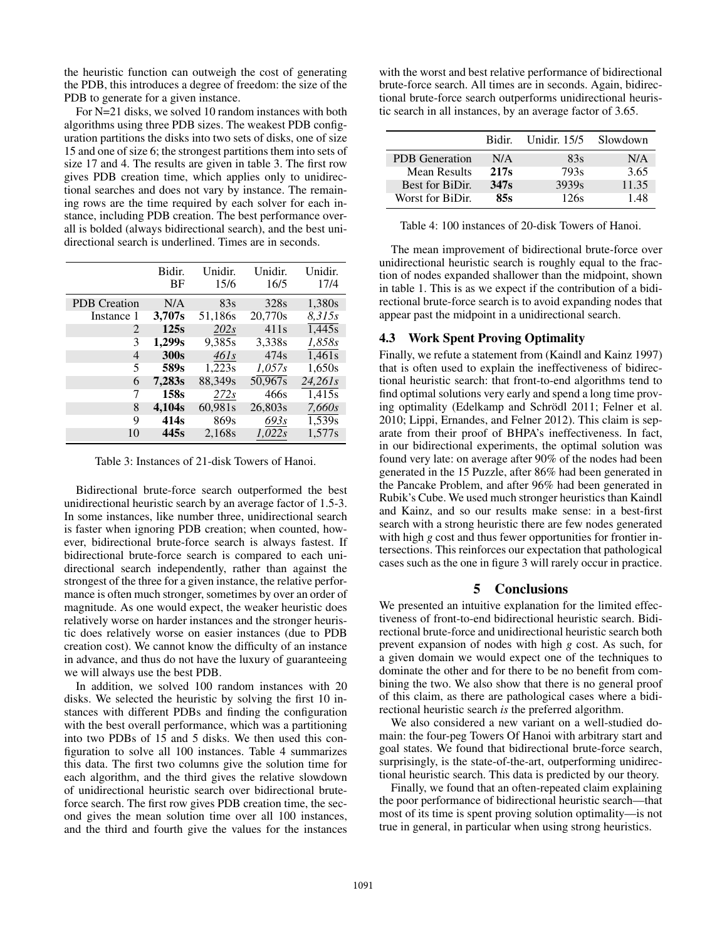the heuristic function can outweigh the cost of generating the PDB, this introduces a degree of freedom: the size of the PDB to generate for a given instance.

For N=21 disks, we solved 10 random instances with both algorithms using three PDB sizes. The weakest PDB configuration partitions the disks into two sets of disks, one of size 15 and one of size 6; the strongest partitions them into sets of size 17 and 4. The results are given in table 3. The first row gives PDB creation time, which applies only to unidirectional searches and does not vary by instance. The remaining rows are the time required by each solver for each instance, including PDB creation. The best performance overall is bolded (always bidirectional search), and the best unidirectional search is underlined. Times are in seconds.

|                     | Bidir.<br>BF     | Unidir.<br>15/6 | Unidir.<br>16/5  | Unidir.<br>17/4 |
|---------------------|------------------|-----------------|------------------|-----------------|
| <b>PDB</b> Creation | N/A              | 83s             | 328s             | 1,380s          |
| Instance 1          | 3,707s           | 51,186s         | 20,770s          | 8,315s          |
| 2                   | 125s             | 202s            | 411s             | 1,445s          |
| 3                   | 1,299s           | 9,385s          | 3,338s           | 1.858s          |
| 4                   | 300s             | $46$ ls         | 474 <sub>s</sub> | 1,461s          |
| 5                   | 589s             | 1,223s          | 1,057s           | 1,650s          |
| 6                   | 7,283s           | 88,349s         | 50,967s          | 24,261s         |
| 7                   | 158s             | 272s            | 466s             | 1,415s          |
| 8                   | 4,104s           | 60,981s         | 26,803s          | 7,660s          |
| 9                   | 414 <sub>s</sub> | 869s            | 693s             | 1,539s          |
| 10                  | 445s             | 2,168s          | 1,022s           | 1,577s          |

Table 3: Instances of 21-disk Towers of Hanoi.

Bidirectional brute-force search outperformed the best unidirectional heuristic search by an average factor of 1.5-3. In some instances, like number three, unidirectional search is faster when ignoring PDB creation; when counted, however, bidirectional brute-force search is always fastest. If bidirectional brute-force search is compared to each unidirectional search independently, rather than against the strongest of the three for a given instance, the relative performance is often much stronger, sometimes by over an order of magnitude. As one would expect, the weaker heuristic does relatively worse on harder instances and the stronger heuristic does relatively worse on easier instances (due to PDB creation cost). We cannot know the difficulty of an instance in advance, and thus do not have the luxury of guaranteeing we will always use the best PDB.

In addition, we solved 100 random instances with 20 disks. We selected the heuristic by solving the first 10 instances with different PDBs and finding the configuration with the best overall performance, which was a partitioning into two PDBs of 15 and 5 disks. We then used this configuration to solve all 100 instances. Table 4 summarizes this data. The first two columns give the solution time for each algorithm, and the third gives the relative slowdown of unidirectional heuristic search over bidirectional bruteforce search. The first row gives PDB creation time, the second gives the mean solution time over all 100 instances, and the third and fourth give the values for the instances

with the worst and best relative performance of bidirectional brute-force search. All times are in seconds. Again, bidirectional brute-force search outperforms unidirectional heuristic search in all instances, by an average factor of 3.65.

|                       | Bidir.           | <b>Unidir.</b> 15/5 | Slowdown |
|-----------------------|------------------|---------------------|----------|
| <b>PDB</b> Generation | N/A              | 83s                 | N/A      |
| Mean Results          | 217 <sub>s</sub> | 793s                | 3.65     |
| Best for BiDir.       | 347 <sub>S</sub> | 3939 <sub>s</sub>   | 11.35    |
| Worst for BiDir.      | 85s              | 126s                | 1.48     |

Table 4: 100 instances of 20-disk Towers of Hanoi.

The mean improvement of bidirectional brute-force over unidirectional heuristic search is roughly equal to the fraction of nodes expanded shallower than the midpoint, shown in table 1. This is as we expect if the contribution of a bidirectional brute-force search is to avoid expanding nodes that appear past the midpoint in a unidirectional search.

## 4.3 Work Spent Proving Optimality

Finally, we refute a statement from (Kaindl and Kainz 1997) that is often used to explain the ineffectiveness of bidirectional heuristic search: that front-to-end algorithms tend to find optimal solutions very early and spend a long time proving optimality (Edelkamp and Schrödl 2011; Felner et al. 2010; Lippi, Ernandes, and Felner 2012). This claim is separate from their proof of BHPA's ineffectiveness. In fact, in our bidirectional experiments, the optimal solution was found very late: on average after 90% of the nodes had been generated in the 15 Puzzle, after 86% had been generated in the Pancake Problem, and after 96% had been generated in Rubik's Cube. We used much stronger heuristics than Kaindl and Kainz, and so our results make sense: in a best-first search with a strong heuristic there are few nodes generated with high *g* cost and thus fewer opportunities for frontier intersections. This reinforces our expectation that pathological cases such as the one in figure 3 will rarely occur in practice.

# 5 Conclusions

We presented an intuitive explanation for the limited effectiveness of front-to-end bidirectional heuristic search. Bidirectional brute-force and unidirectional heuristic search both prevent expansion of nodes with high *g* cost. As such, for a given domain we would expect one of the techniques to dominate the other and for there to be no benefit from combining the two. We also show that there is no general proof of this claim, as there are pathological cases where a bidirectional heuristic search *is* the preferred algorithm.

We also considered a new variant on a well-studied domain: the four-peg Towers Of Hanoi with arbitrary start and goal states. We found that bidirectional brute-force search, surprisingly, is the state-of-the-art, outperforming unidirectional heuristic search. This data is predicted by our theory.

Finally, we found that an often-repeated claim explaining the poor performance of bidirectional heuristic search—that most of its time is spent proving solution optimality—is not true in general, in particular when using strong heuristics.